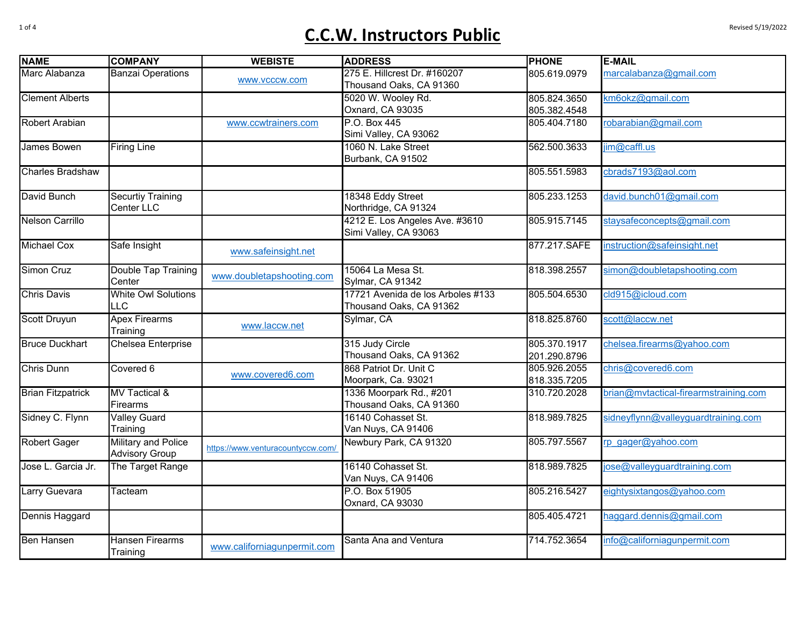## $C.C.W.$  Instructors Public

| <b>NAME</b>              | <b>COMPANY</b>             | <b>WEBISTE</b>                    | <b>ADDRESS</b>                    | <b>PHONE</b> | <b>E-MAIL</b>                         |
|--------------------------|----------------------------|-----------------------------------|-----------------------------------|--------------|---------------------------------------|
| Marc Alabanza            | <b>Banzai Operations</b>   | www.vcccw.com                     | 275 E. Hillcrest Dr. #160207      | 805.619.0979 | marcalabanza@gmail.com                |
|                          |                            |                                   | Thousand Oaks, CA 91360           |              |                                       |
| <b>Clement Alberts</b>   |                            |                                   | 5020 W. Wooley Rd.                | 805.824.3650 | km6okz@gmail.com                      |
|                          |                            |                                   | Oxnard, CA 93035                  | 805.382.4548 |                                       |
| Robert Arabian           |                            | www.ccwtrainers.com               | P.O. Box 445                      | 805.404.7180 | robarabian@gmail.com                  |
|                          |                            |                                   | Simi Valley, CA 93062             |              |                                       |
| James Bowen              | <b>Firing Line</b>         |                                   | 1060 N. Lake Street               | 562.500.3633 | jim@caffl.us                          |
|                          |                            |                                   | Burbank, CA 91502                 |              |                                       |
| <b>Charles Bradshaw</b>  |                            |                                   |                                   | 805.551.5983 | cbrads7193@aol.com                    |
| David Bunch              | <b>Securtiy Training</b>   |                                   | 18348 Eddy Street                 | 805.233.1253 | david.bunch01@gmail.com               |
|                          | Center LLC                 |                                   | Northridge, CA 91324              |              |                                       |
| <b>Nelson Carrillo</b>   |                            |                                   | 4212 E. Los Angeles Ave. #3610    | 805.915.7145 | staysafeconcepts@gmail.com            |
|                          |                            |                                   | Simi Valley, CA 93063             |              |                                       |
| <b>Michael Cox</b>       | Safe Insight               |                                   |                                   | 877.217.SAFE | instruction@safeinsight.net           |
|                          |                            | www.safeinsight.net               |                                   |              |                                       |
| <b>Simon Cruz</b>        | Double Tap Training        |                                   | 15064 La Mesa St.                 | 818.398.2557 | simon@doubletapshooting.com           |
|                          | Center                     | www.doubletapshooting.com         | Sylmar, CA 91342                  |              |                                       |
| <b>Chris Davis</b>       | <b>White Owl Solutions</b> |                                   | 17721 Avenida de los Arboles #133 | 805.504.6530 | cld915@icloud.com                     |
|                          | <b>LLC</b>                 |                                   | Thousand Oaks, CA 91362           |              |                                       |
| <b>Scott Druyun</b>      | <b>Apex Firearms</b>       | www.laccw.net                     | Sylmar, CA                        | 818.825.8760 | scott@laccw.net                       |
|                          | Training                   |                                   |                                   |              |                                       |
| <b>Bruce Duckhart</b>    | Chelsea Enterprise         |                                   | 315 Judy Circle                   | 805.370.1917 | chelsea.firearms@yahoo.com            |
|                          |                            |                                   | Thousand Oaks, CA 91362           | 201.290.8796 |                                       |
| <b>Chris Dunn</b>        | Covered 6                  |                                   | 868 Patriot Dr. Unit C            | 805.926.2055 | chris@covered6.com                    |
|                          |                            | www.covered6.com                  | Moorpark, Ca. 93021               | 818.335.7205 |                                       |
| <b>Brian Fitzpatrick</b> | <b>MV Tactical &amp;</b>   |                                   | 1336 Moorpark Rd., #201           | 310.720.2028 | brian@mvtactical-firearmstraining.com |
|                          | Firearms                   |                                   | Thousand Oaks, CA 91360           |              |                                       |
| Sidney C. Flynn          | <b>Valley Guard</b>        |                                   | 16140 Cohasset St.                | 818.989.7825 | sidneyflynn@valleyguardtraining.com   |
|                          | Training                   |                                   | Van Nuys, CA 91406                |              |                                       |
| <b>Robert Gager</b>      | Military and Police        |                                   | Newbury Park, CA 91320            | 805.797.5567 | rp gager@yahoo.com                    |
|                          | <b>Advisory Group</b>      | https://www.venturacountyccw.com/ |                                   |              |                                       |
| Jose L. Garcia Jr.       | The Target Range           |                                   | 16140 Cohasset St.                | 818.989.7825 | jose@valleyguardtraining.com          |
|                          |                            |                                   | Van Nuys, CA 91406                |              |                                       |
| Larry Guevara            | Tacteam                    |                                   | P.O. Box 51905                    | 805.216.5427 | eightysixtangos@yahoo.com             |
|                          |                            |                                   | Oxnard, CA 93030                  |              |                                       |
| Dennis Haggard           |                            |                                   |                                   | 805.405.4721 | haggard.dennis@gmail.com              |
|                          |                            |                                   |                                   |              |                                       |
| <b>Ben Hansen</b>        | <b>Hansen Firearms</b>     |                                   | Santa Ana and Ventura             | 714.752.3654 | info@californiagunpermit.com          |
|                          | Training                   | www.californiagunpermit.com       |                                   |              |                                       |
|                          |                            |                                   |                                   |              |                                       |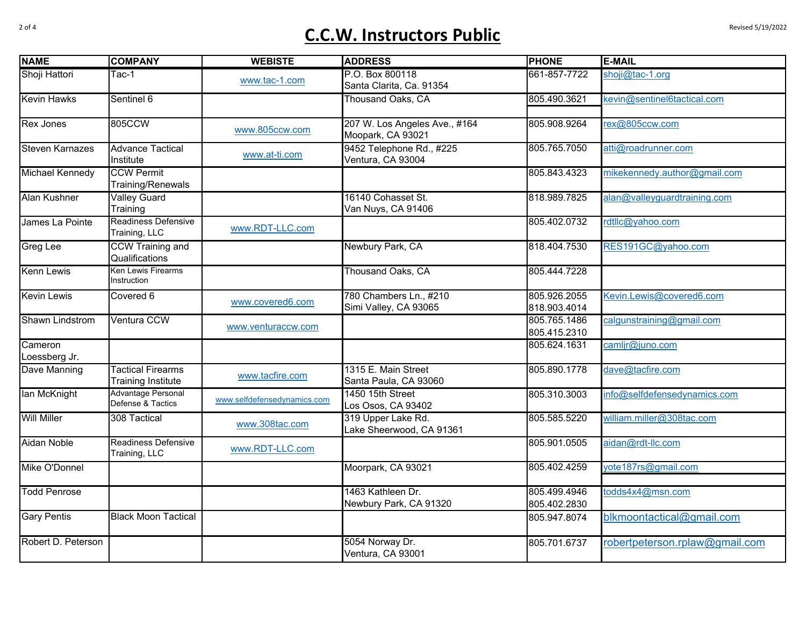## of <sup>4</sup> **C.C.W. Instructors Public**

| <b>NAME</b>              | <b>COMPANY</b>                                        | <b>WEBISTE</b>              | <b>ADDRESS</b>                                     | <b>PHONE</b>                 | <b>E-MAIL</b>                  |
|--------------------------|-------------------------------------------------------|-----------------------------|----------------------------------------------------|------------------------------|--------------------------------|
| Shoji Hattori            | Tac-1                                                 | www.tac-1.com               | P.O. Box 800118<br>Santa Clarita, Ca. 91354        | 661-857-7722                 | shoji@tac-1.org                |
| <b>Kevin Hawks</b>       | Sentinel 6                                            |                             | Thousand Oaks, CA                                  | 805.490.3621                 | kevin@sentinel6tactical.com    |
| <b>Rex Jones</b>         | 805CCW                                                | www.805ccw.com              | 207 W. Los Angeles Ave., #164<br>Moopark, CA 93021 | 805.908.9264                 | rex@805ccw.com                 |
| <b>Steven Karnazes</b>   | <b>Advance Tactical</b><br>Institute                  | www.at-ti.com               | 9452 Telephone Rd., #225<br>Ventura, CA 93004      | 805.765.7050                 | atti@roadrunner.com            |
| Michael Kennedy          | <b>CCW Permit</b><br>Training/Renewals                |                             |                                                    | 805.843.4323                 | mikekennedy.author@gmail.com   |
| <b>Alan Kushner</b>      | <b>Valley Guard</b><br>Training                       |                             | 16140 Cohasset St.<br>Van Nuys, CA 91406           | 818.989.7825                 | alan@valleyguardtraining.com   |
| James La Pointe          | Readiness Defensive<br>Training, LLC                  | www.RDT-LLC.com             |                                                    | 805.402.0732                 | rdtllc@yahoo.com               |
| <b>Greg Lee</b>          | <b>CCW Training and</b><br>Qualifications             |                             | Newbury Park, CA                                   | 818.404.7530                 | RES191GC@yahoo.com             |
| <b>Kenn Lewis</b>        | Ken Lewis Firearms<br>Instruction                     |                             | Thousand Oaks, CA                                  | 805.444.7228                 |                                |
| <b>Kevin Lewis</b>       | Covered 6                                             | www.covered6.com            | 780 Chambers Ln., #210<br>Simi Valley, CA 93065    | 805.926.2055<br>818.903.4014 | Kevin.Lewis@covered6.com       |
| Shawn Lindstrom          | <b>Ventura CCW</b>                                    | www.venturaccw.com          |                                                    | 805.765.1486<br>805.415.2310 | calgunstraining@gmail.com      |
| Cameron<br>Loessberg Jr. |                                                       |                             |                                                    | 805.624.1631                 | camljr@juno.com                |
| Dave Manning             | <b>Tactical Firearms</b><br><b>Training Institute</b> | www.tacfire.com             | 1315 E. Main Street<br>Santa Paula, CA 93060       | 805.890.1778                 | dave@tacfire.com               |
| lan McKnight             | Advantage Personal<br>Defense & Tactics               | www.selfdefensedynamics.com | 1450 15th Street<br>Los Osos, CA 93402             | 805.310.3003                 | info@selfdefensedynamics.com   |
| <b>Will Miller</b>       | 308 Tactical                                          | www.308tac.com              | 319 Upper Lake Rd.<br>Lake Sheerwood, CA 91361     | 805.585.5220                 | william.miller@308tac.com      |
| Aidan Noble              | <b>Readiness Defensive</b><br>Training, LLC           | www.RDT-LLC.com             |                                                    | 805.901.0505                 | aidan@rdt-llc.com              |
| Mike O'Donnel            |                                                       |                             | Moorpark, CA 93021                                 | 805.402.4259                 | yote187rs@gmail.com            |
| <b>Todd Penrose</b>      |                                                       |                             | 1463 Kathleen Dr.<br>Newbury Park, CA 91320        | 805.499.4946<br>805.402.2830 | todds4x4@msn.com               |
| <b>Gary Pentis</b>       | <b>Black Moon Tactical</b>                            |                             |                                                    | 805.947.8074                 | blkmoontactical@gmail.com      |
| Robert D. Peterson       |                                                       |                             | 5054 Norway Dr.<br>Ventura, CA 93001               | 805.701.6737                 | robertpeterson.rplaw@gmail.com |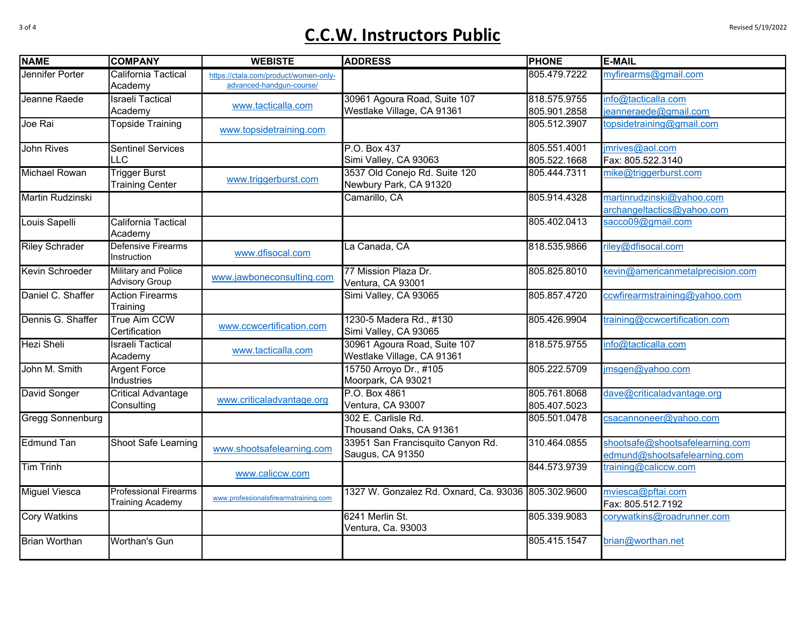## **C.C.W. Instructors Public C.C.W. Instructors**

| <b>NAME</b>             | <b>COMPANY</b>                                          | <b>WEBISTE</b>                                                    | <b>ADDRESS</b>                                             | <b>PHONE</b>                 | <b>E-MAIL</b>                                                   |
|-------------------------|---------------------------------------------------------|-------------------------------------------------------------------|------------------------------------------------------------|------------------------------|-----------------------------------------------------------------|
| <b>Jennifer Porter</b>  | <b>California Tactical</b><br>Academy                   | https://ctala.com/product/women-only-<br>advanced-handqun-course/ |                                                            | 805.479.7222                 | myfirearms@gmail.com                                            |
| Jeanne Raede            | <b>Israeli Tactical</b><br>Academy                      | www.tacticalla.com                                                | 30961 Agoura Road, Suite 107<br>Westlake Village, CA 91361 | 818.575.9755<br>805.901.2858 | info@tacticalla.com<br>jeanneraede@gmail.com                    |
| Joe Rai                 | <b>Topside Training</b>                                 | www.topsidetraining.com                                           |                                                            | 805.512.3907                 | topsidetraining@gmail.com                                       |
| John Rives              | <b>Sentinel Services</b><br><b>LLC</b>                  |                                                                   | P.O. Box 437<br>Simi Valley, CA 93063                      | 805.551.4001<br>805.522.1668 | jmrives@aol.com<br>Fax: 805.522.3140                            |
| <b>Michael Rowan</b>    | <b>Trigger Burst</b><br><b>Training Center</b>          | www.triggerburst.com                                              | 3537 Old Conejo Rd. Suite 120<br>Newbury Park, CA 91320    | 805.444.7311                 | mike@triggerburst.com                                           |
| Martin Rudzinski        |                                                         |                                                                   | Camarillo, CA                                              | 805.914.4328                 | martinrudzinski@yahoo.com<br>archangeltactics@yahoo.com         |
| Louis Sapelli           | <b>California Tactical</b><br>Academy                   |                                                                   |                                                            | 805.402.0413                 | sacco09@gmail.com                                               |
| <b>Riley Schrader</b>   | Defensive Firearms<br>Instruction                       | www.dfisocal.com                                                  | La Canada, CA                                              | 818.535.9866                 | riley@dfisocal.com                                              |
| <b>Kevin Schroeder</b>  | Military and Police<br><b>Advisory Group</b>            | www.jawboneconsulting.com                                         | 77 Mission Plaza Dr.<br>Ventura, CA 93001                  | 805.825.8010                 | kevin@americanmetalprecision.com                                |
| Daniel C. Shaffer       | <b>Action Firearms</b><br>Training                      |                                                                   | Simi Valley, CA 93065                                      | 805.857.4720                 | ccwfirearmstraining@yahoo.com                                   |
| Dennis G. Shaffer       | True Aim CCW<br>Certification                           | www.ccwcertification.com                                          | 1230-5 Madera Rd., #130<br>Simi Valley, CA 93065           | 805.426.9904                 | training@ccwcertification.com                                   |
| <b>Hezi Sheli</b>       | <b>Israeli Tactical</b><br>Academy                      | www.tacticalla.com                                                | 30961 Agoura Road, Suite 107<br>Westlake Village, CA 91361 | 818.575.9755                 | info@tacticalla.com                                             |
| John M. Smith           | <b>Argent Force</b><br>Industries                       |                                                                   | 15750 Arroyo Dr., #105<br>Moorpark, CA 93021               | 805.222.5709                 | jmsgen@yahoo.com                                                |
| David Songer            | <b>Critical Advantage</b><br>Consulting                 | www.criticaladvantage.org                                         | P.O. Box 4861<br>Ventura, CA 93007                         | 805.761.8068<br>805.407.5023 | dave@criticaladvantage.org                                      |
| <b>Gregg Sonnenburg</b> |                                                         |                                                                   | 302 E. Carlisle Rd.<br>Thousand Oaks, CA 91361             | 805.501.0478                 | csacannoneer@yahoo.com                                          |
| <b>Edmund Tan</b>       | <b>Shoot Safe Learning</b>                              | www.shootsafelearning.com                                         | 33951 San Francisquito Canyon Rd.<br>Saugus, CA 91350      | 310.464.0855                 | shootsafe@shootsafelearning.com<br>edmund@shootsafelearning.com |
| <b>Tim Trinh</b>        |                                                         | www.caliccw.com                                                   |                                                            | 844.573.9739                 | training@caliccw.com                                            |
| <b>Miguel Viesca</b>    | <b>Professional Firearms</b><br><b>Training Academy</b> | www.professionalsfirearmstraining.com                             | 1327 W. Gonzalez Rd. Oxnard, Ca. 93036 805.302.9600        |                              | mviesca@pftai.com<br>Fax: 805.512.7192                          |
| <b>Cory Watkins</b>     |                                                         |                                                                   | 6241 Merlin St.<br>Ventura, Ca. 93003                      | 805.339.9083                 | corywatkins@roadrunner.com                                      |
| <b>Brian Worthan</b>    | <b>Worthan's Gun</b>                                    |                                                                   |                                                            | 805.415.1547                 | brian@worthan.net                                               |